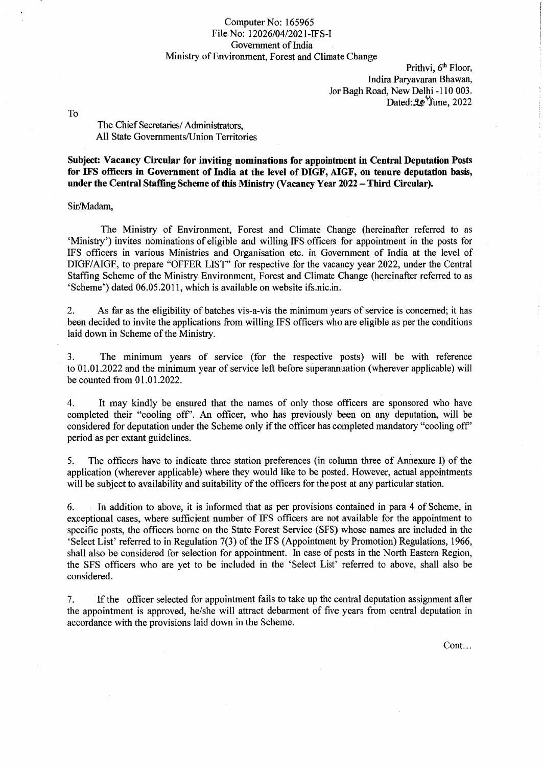#### Computer No: 165965 File No: 12026/04/2021-IFS-I Government of India Ministry of Environment, Forest and Climate Change

Prithvi, 6<sup>th</sup> Floor, Indira Paryavaran Bhawan, Jor Bagh Road, New Delhi -110 003. Dated:  $20$ <sup>V</sup> June, 2022

To

The Chief Secretaries/ Administrators, All State Governments/Union Territories

Subject: Vacancy Circular for inviting nominations for appointment in Central Deputation Posts for IFS officers in Government of India at the level of DIGF, AIGF, on tenure deputation basis, under the Central Staffing Scheme of this Ministry (Vacancy Year 2022. - Third Circular).

Sir/Madam,

The Ministry of Environment, Forest and Climate Change (hereinafter referred to as 'Ministry') invites nominations of eligible and willing IFS officers for appointment in the posts for IFS officers in various Ministries and Organisation etc. in Government of India at the level of DIGF/AIGF, to prepare "OFFER LIST" for respective for the vacancy year 2022, under the Central Staffing Scheme of the Ministry Environment, Forest and Climate Change (hereinafter referred to as 'Scheme') dated 06.05.2011, which is available on website ifs.nic.in.

2. As far as the eligibility of batches vis-a-vis the minimum years of service is concerned; it has been decided to invite the applications from willing IFS officers who are eligible as per the conditions laid down in Scheme of the Ministry.

3. The minimum years of service (for the respective posts) will be with reference to '01.01.2022 and the minimum year of service left before superannuation (wherever applicable) will be counted from 01.01.2022.

4. It may kindly be ensured that the names of only those officers are sponsored who have completed their "cooling off'. An officer, who has previously been on any deputation, will be considered for deputation under the Scheme only if the officer has completed mandatory "cooling off' period as per extant guidelines.

5. The officers have to indicate three station preferences (in column three of Annexure I) of the application (wherever applicable) where they would like to be posted. However, actual appointments will be subject to availability and suitability of the officers for the post at any particular station.

6. In addition to above, it is informed that as per provisions contained in para 4 of Scheme, in exceptional cases, where sufficient number of IFS officers are not available for the appointment to specific posts, the officers borne on the State Forest Service (SFS) whose names are included in the 'Select List' referred to in Regulation 7(3) of the IFS (Appointment by Promotion) Regulations, 1966, shall also be considered for selection for appointment. In case of posts in the North Eastern Region, the SFS officers who are yet to be included in the 'Select List' referred to above, shall also be considered.

7. If the officer selected for appointment fails to take up the central deputation assignment after the appointment is approved, he/she will attract debarment of five years from central deputation in accordance with the provisions laid down in the Scheme.

Cont...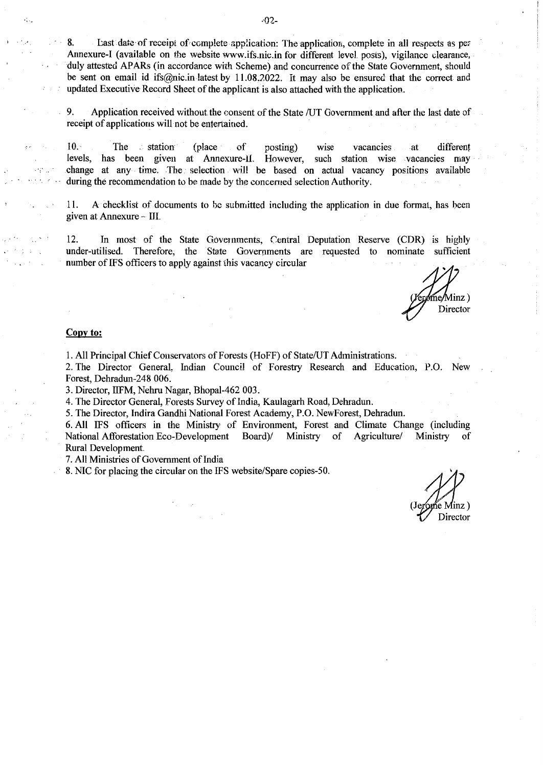8. . . Last date of receipt of complete application: The application, complete in all respects as per Annexure-I (available on the website www.ifs.nic.in for different level posts), vigilance clearance, duly attested APARs (in accordance with Scheme) and concurrence of the State Government, should be sent on email id ifs@nic.in latest by 11.08.2022. It may also be ensured that the correct and updated Executive Record Sheet of the applicant is also attached with the application.

9. Application received without. the consent of the State /UT Government and after the last date of receipt of applications will not be entertained.

10. The station (place of posting) wise vacancies at different levels, has been given at Annexure-II. However, such station wise vacancies may has been given at Annexure-II. However, such station wise vacancies may change at any time. The selection will be based on actual vacancy positions available during the recommendation to he made by the concerned selection Authority.

11. A checklist of documents to be submitted including the application in due format, has been given at Annexure ~- lII.

12. In most of the State Governments, Central Deputation Reserve (CDR) is highly under-utilised. Therefore, the State Governments are requested to nominate sufficient number of IFS officers to apply against this vacancy circular

 $Minz)$ Director

#### **Copy to:**

,·

 $2.3 - 7$ 

3倍。

1. All Principal Chief Conservators of Forests (HoFF) of State/UT Administrations.

2. The Director General, Indian Council of Forestry Research and Education, P.O. New Forest, Dehradun-248 006.

3. Director, IIFM, Nehru Nagar, Bhopal-462 003.

4. The Director General, Forests Survey of India, Kaulagarh Road, Dehradun.

5. The Director, Indira Gandhi National Forest Academy, P.O. NewForest, Dehradun.

6. All IFS officers in the Ministry of Environment, Forest and Climate Change (including National Afforestation Eco-Development Board)/ Ministry of Agriculture/ Ministry of Rural Development

7. All Ministries of Government of India

8. NIC for placing the circular on the IFS website/Spare copies-50.

ie Minz) Director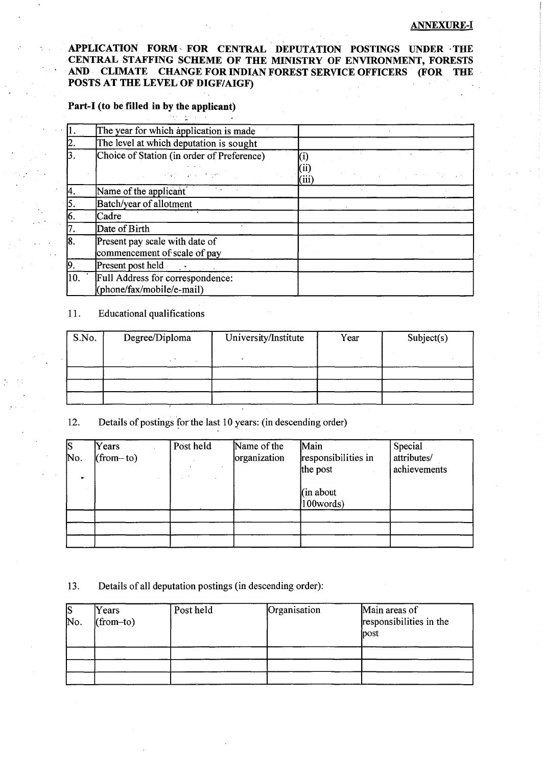#### ANNEXURE-1

## APPLICATION FORM, FOR CENTRAL DEPUTATION POSTINGS UNDER ·THE CENTRAL STAFFING SCHEME OF THE MINISTRY OF ENVIRONMENT, FORESTS AND CLIMATE CHANGE FOR INDIAN FOREST SERVICE OFFICERS (FOR THE POSTS AT THE LEVEL OF DIGF/AIGF)

# Part-I (to be filled in by the applicant)

|     | The year for which application is made                         |       |  |  |  |  |
|-----|----------------------------------------------------------------|-------|--|--|--|--|
| 12. | The level at which deputation is sought                        |       |  |  |  |  |
| 3.  | Choice of Station (in order of Preference)                     |       |  |  |  |  |
|     | <b>Contract Contract</b>                                       | (iii) |  |  |  |  |
| 4.  | Name of the applicant                                          |       |  |  |  |  |
| 5   | Batch/year of allotment                                        |       |  |  |  |  |
| 16. | Cadre                                                          |       |  |  |  |  |
|     | Date of Birth                                                  |       |  |  |  |  |
| 18. | Present pay scale with date of<br>commencement of scale of pay |       |  |  |  |  |
| 19  | <b>Present post held</b>                                       |       |  |  |  |  |
| 10. | Full Address for correspondence:<br>(phone/fax/mobile/e-mail)  |       |  |  |  |  |

#### 11. Educational qualifications

| S.No.<br>Degree/Diploma |  | University/Institute | Year | Subject(s) |  |  |
|-------------------------|--|----------------------|------|------------|--|--|
|                         |  |                      |      |            |  |  |
|                         |  |                      |      |            |  |  |
|                         |  |                      |      |            |  |  |
|                         |  |                      |      |            |  |  |

### 12. Details of postings for the last 10 years: (in descending order)

| S<br>No.<br>$\bullet$ | Years<br>$(from-to)$ | Post held | Name of the<br>organization | Main<br>responsibilities in<br>the post<br>$(\text{in about})$<br>100words) | Special<br>attributes/<br>achievements |
|-----------------------|----------------------|-----------|-----------------------------|-----------------------------------------------------------------------------|----------------------------------------|
|                       |                      |           |                             |                                                                             |                                        |
|                       |                      |           |                             |                                                                             |                                        |
|                       |                      |           |                             |                                                                             |                                        |

#### 13. Details of all deputation postings (in descending order):

| S<br>No. | Years<br>$(from-to)$ | Post held | Organisation | Main areas of<br>responsibilities in the<br>post |
|----------|----------------------|-----------|--------------|--------------------------------------------------|
|          |                      |           |              |                                                  |
|          |                      |           |              |                                                  |
|          |                      |           |              |                                                  |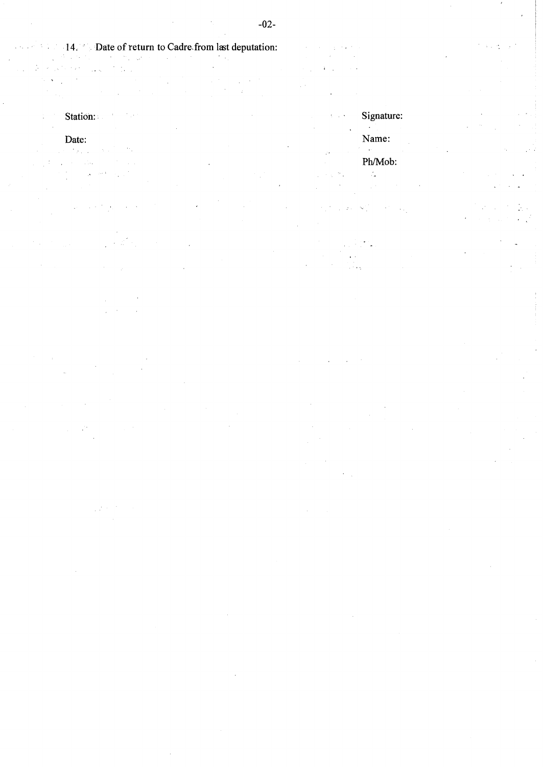$\Delta \sim 10$ 

14. · Date of return to Cadre from last deputation:  $\ddot{\phantom{a}}$  $\frac{1}{\sqrt{2}}$  $\mathcal{L}_{\mathcal{A}}$  ,  $\mathcal{L}_{\mathcal{A}}$  ,  $\mathcal{L}_{\mathcal{A}}$  ,  $\mathcal{L}_{\mathcal{A}}$  ,  $\sim$   $\sim$  $\mathcal{L}_{\mathcal{A}}$  $\mathcal{H}^{\mathcal{A}}_{\mathcal{A}}(\mathbf{x})$  .  $\bar{z}$  $\hat{\boldsymbol{\beta}}$  $\sim$  $\bar{z}$  $\ddot{\cdot}$ 

Station:

### Date:

 $\sim$   $\sim$  $\mathcal{C}^{\mathcal{A}}(\mathcal{F}_{\mathcal{A}})$  , and  $\mathcal{C}^{\mathcal{A}}(\mathcal{F})$  $\sim 150$  $\sim 10$  $\hat{\mathcal{A}}$  $\sim 1$ ÷,

 $\bar{a}$  $\bar{z}$ 

 $\sim$   $\sim$  $\hat{\mathcal{L}}$  $\bar{z}$ 

 $\frac{1}{2} \int_{0}^{1} \left( \frac{1}{2} \right) \, d \tau$ 

 $\frac{1}{2}$  $\sim 10^7$  $\mathcal{A}$  $\Delta \sim 1$  $\sim 10$ 

> Signature:  $\chi_{\rm{max}}$  $\sim$ Name:  $\mathbb{R}^4$ Ph/Mob:  $\mathcal{L}_{\mathcal{A}}$  , we  $\mathcal{L}_{\text{a}}$  .

过 ۰.  $\mathcal{L}_{\rm{max}}$ 

Ą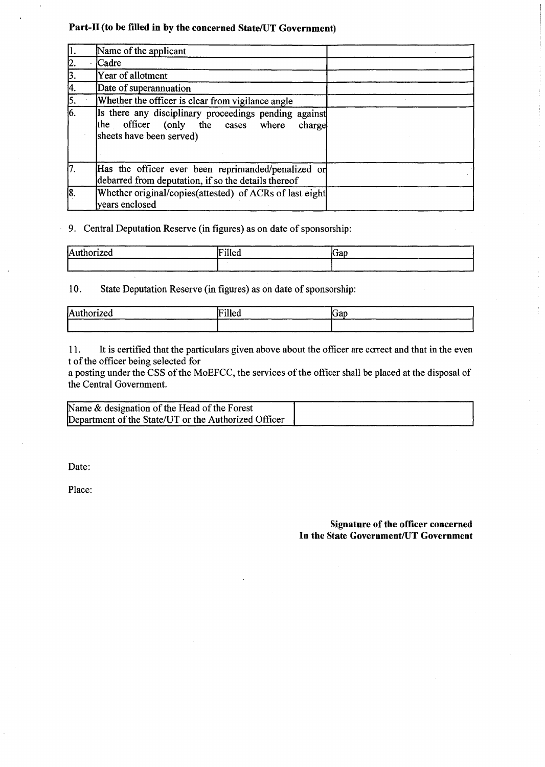# Part-II (to be filled in by the concerned State/UT Government)

|                 | Name of the applicant                                                                                                            |  |
|-----------------|----------------------------------------------------------------------------------------------------------------------------------|--|
|                 | Cadre                                                                                                                            |  |
| 3               | Year of allotment                                                                                                                |  |
| 14.             | Date of superannuation                                                                                                           |  |
| 5.              | Whether the officer is clear from vigilance angle                                                                                |  |
| $\overline{6}$  | Is there any disciplinary proceedings pending against<br>the officer (only the cases where<br>charge<br>sheets have been served) |  |
| <sup>1</sup> 7. | Has the officer ever been reprimanded/penalized or<br>debarred from deputation, if so the details thereof                        |  |
| [8.             | Whether original/copies(attested) of ACRs of last eight<br>years enclosed                                                        |  |

9. Central Deputation Reserve (in figures) as on date of sponsorship:

| Authorized | <b>TO 118</b><br>1н<br>1lled | ∽<br><b>Krap</b> |
|------------|------------------------------|------------------|
|            |                              |                  |

10. State Deputation Reserve (in figures) as on date of sponsorship:

| Authorized | Filled | lGap |
|------------|--------|------|
|            |        |      |

11. It is certified that the particulars given above about the officer are ccrrect and that in the even t of the officer being selected for

a posting under the CSS of the MoEFCC, the services of the officer shall be placed at the disposal of the Central Government.

| Name $\&$ designation of the Head of the Forest      |  |
|------------------------------------------------------|--|
| Department of the State/UT or the Authorized Officer |  |

Date:

Place:

Signature of the officer concerned In the State Government/UT Government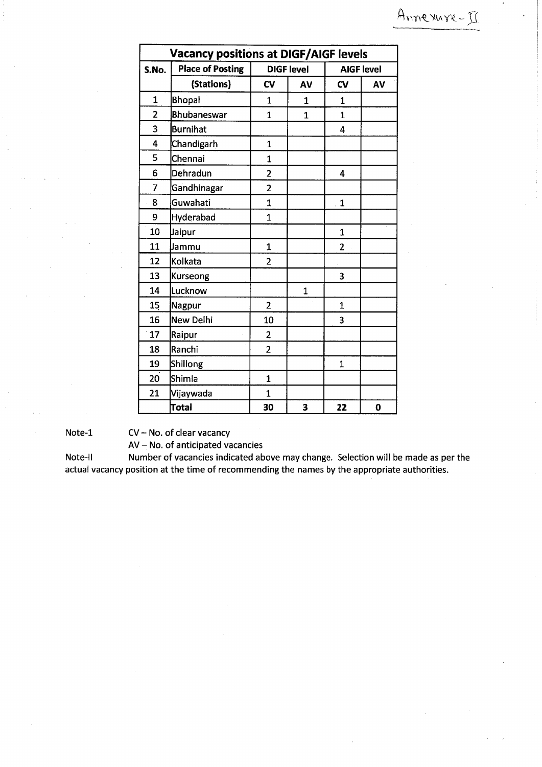| <b>Vacancy positions at DIGF/AIGF levels</b> |                         |                         |                   |                |                   |  |  |
|----------------------------------------------|-------------------------|-------------------------|-------------------|----------------|-------------------|--|--|
| S.No.                                        | <b>Place of Posting</b> |                         | <b>DIGF level</b> |                | <b>AIGF level</b> |  |  |
|                                              | (Stations)              | CV                      | AV                | $c_{V}$        | AV                |  |  |
| $\mathbf{1}$                                 | <b>Bhopal</b>           | $\overline{1}$          | $\overline{1}$    | $\mathbf{1}$   |                   |  |  |
| $\overline{2}$                               | <b>Bhubaneswar</b>      | $\overline{1}$          | $\overline{1}$    | $\mathbf{1}$   |                   |  |  |
| 3                                            | <b>Burnihat</b>         |                         |                   | 4              |                   |  |  |
| 4                                            | Chandigarh              | $\mathbf{1}$            |                   |                |                   |  |  |
| 5                                            | Chennai                 | $\mathbf 1$             |                   |                |                   |  |  |
| 6                                            | Dehradun                | $\overline{2}$          |                   | $\overline{4}$ |                   |  |  |
| 7                                            | Gandhinagar             | $\overline{2}$          |                   |                |                   |  |  |
| 8                                            | Guwahati                | $\mathbf{1}$            |                   | $\mathbf{1}$   |                   |  |  |
| 9                                            | Hyderabad               | $\mathbf{1}$            |                   |                |                   |  |  |
| 10                                           | Jaipur                  |                         |                   | $\mathbf{1}$   |                   |  |  |
| 11                                           | Jammu                   | $\mathbf{1}$            |                   | $\overline{2}$ |                   |  |  |
| 12                                           | Kolkata                 | $\overline{2}$          |                   |                |                   |  |  |
| 13                                           | <b>Kurseong</b>         |                         |                   | 3              |                   |  |  |
| 14                                           | Lucknow                 |                         | $\overline{1}$    |                |                   |  |  |
| 15                                           | Nagpur                  | $\overline{2}$          |                   | $\mathbf{1}$   |                   |  |  |
| 16                                           | New Delhi               | 10                      |                   | 3              |                   |  |  |
| 17                                           | Raipur                  | $\overline{\mathbf{c}}$ |                   |                |                   |  |  |
| 18                                           | Ranchi                  | $\overline{2}$          |                   |                |                   |  |  |
| 19                                           | Shillong                |                         |                   | $\mathbf{1}$   |                   |  |  |
| 20                                           | Shimla                  | $\mathbf{1}$            |                   |                |                   |  |  |
| 21                                           | Vijaywada               | $\mathbf{1}$            |                   |                |                   |  |  |
|                                              | Total                   | 30                      | 3                 | 22             | $\bf{0}$          |  |  |

Note-1 CV-No. of clear vacancy

AV- No. of anticipated vacancies

Note-II Number of vacancies indicated above may change. Selection will be made as per the actual vacancy position at the time of recommending the names by the appropriate authorities.